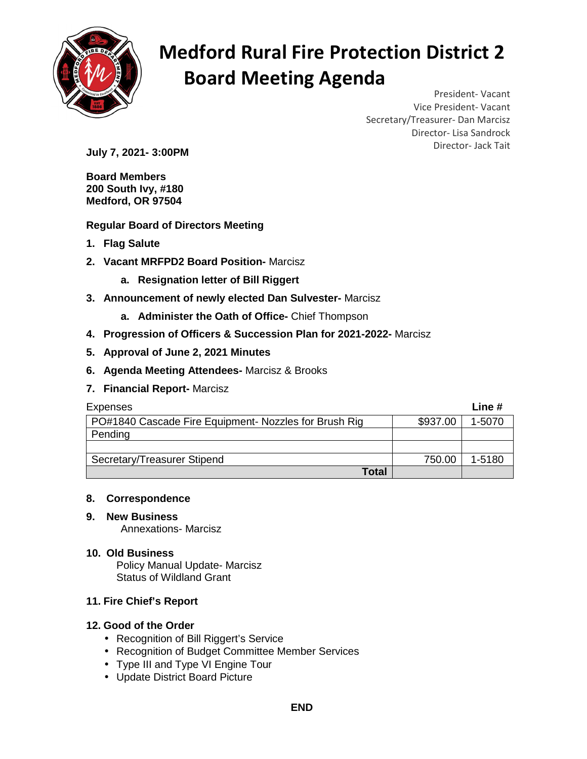

# **Medford Rural Fire Protection District 2 Board Meeting Agenda**

President- Vacant Vice President- Vacant Secretary/Treasurer- Dan Marcisz Director- Lisa Sandrock Director- Jack Tait **July 7, 2021- 3:00PM** 

**Board Members 200 South Ivy, #180 Medford, OR 97504** 

**Regular Board of Directors Meeting** 

- **1. Flag Salute**
- **2. Vacant MRFPD2 Board Position-** Marcisz
	- **a. Resignation letter of Bill Riggert**
- **3. Announcement of newly elected Dan Sulvester-** Marcisz
	- **a. Administer the Oath of Office-** Chief Thompson
- **4. Progression of Officers & Succession Plan for 2021-2022-** Marcisz
- **5. Approval of June 2, 2021 Minutes**
- **6. Agenda Meeting Attendees-** Marcisz & Brooks
- **7. Financial Report-** Marcisz

| Expenses                                              |          | Line $#$ |
|-------------------------------------------------------|----------|----------|
| PO#1840 Cascade Fire Equipment- Nozzles for Brush Rig | \$937.00 | 1-5070   |
| Pending                                               |          |          |
|                                                       |          |          |
| Secretary/Treasurer Stipend                           | 750.00   | 1-5180   |
| Total                                                 |          |          |

### **8. Correspondence**

### **9. New Business**

Annexations- Marcisz

### **10. Old Business**

Policy Manual Update- Marcisz Status of Wildland Grant

### **11. Fire Chief's Report**

### **12. Good of the Order**

- Recognition of Bill Riggert's Service
- Recognition of Budget Committee Member Services
- Type III and Type VI Engine Tour
- Update District Board Picture